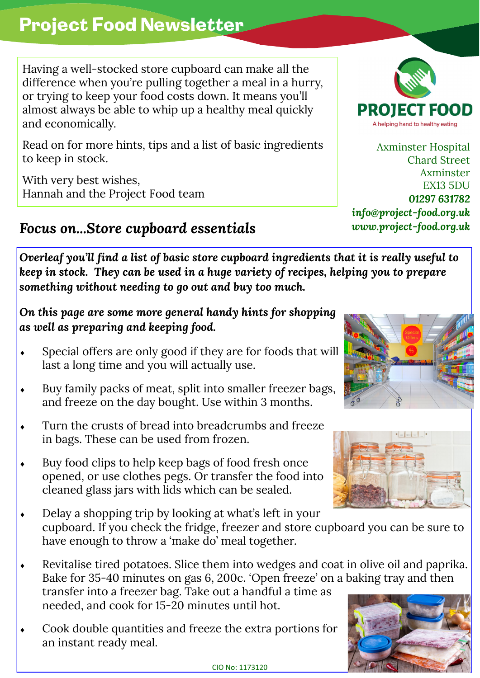## Project Food Newsletter

Having a well-stocked store cupboard can make all the difference when you're pulling together a meal in a hurry, or trying to keep your food costs down. It means you'll almost always be able to whip up a healthy meal quickly and economically.

Read on for more hints, tips and a list of basic ingredients to keep in stock.

With very best wishes, Hannah and the Project Food team

## *Focus on...Store cupboard essentials www.project-food.org.uk*

*Overleaf you'll find a list of basic store cupboard ingredients that it is really useful to keep in stock. They can be used in a huge variety of recipes, helping you to prepare something without needing to go out and buy too much.*

*On this page are some more general handy hints for shopping as well as preparing and keeping food.*

- Special offers are only good if they are for foods that will last a long time and you will actually use.
- Buy family packs of meat, split into smaller freezer bags, and freeze on the day bought. Use within 3 months.
- Turn the crusts of bread into breadcrumbs and freeze in bags. These can be used from frozen.
- Buy food clips to help keep bags of food fresh once opened, or use clothes pegs. Or transfer the food into cleaned glass jars with lids which can be sealed.
- Delay a shopping trip by looking at what's left in your cupboard. If you check the fridge, freezer and store cupboard you can be sure to have enough to throw a 'make do' meal together.
- Revitalise tired potatoes. Slice them into wedges and coat in olive oil and paprika. Bake for 35-40 minutes on gas 6, 200c. 'Open freeze' on a baking tray and then transfer into a freezer bag. Take out a handful a time as needed, and cook for 15-20 minutes until hot.
- Cook double quantities and freeze the extra portions for an instant ready meal.



Axminster Hospital Chard Street Axminster EX13 5DU *01297 631782 info@project-food.org.uk*